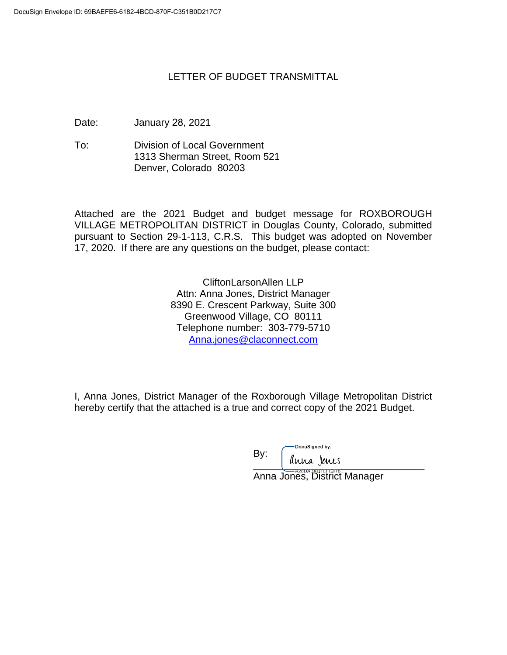## LETTER OF BUDGET TRANSMITTAL

Date: January 28, 2021

To: Division of Local Government 1313 Sherman Street, Room 521 Denver, Colorado 80203

Attached are the 2021 Budget and budget message for ROXBOROUGH VILLAGE METROPOLITAN DISTRICT in Douglas County, Colorado, submitted pursuant to Section 29-1-113, C.R.S. This budget was adopted on November 17, 2020. If there are any questions on the budget, please contact:

> CliftonLarsonAllen LLP Attn: Anna Jones, District Manager 8390 E. Crescent Parkway, Suite 300 Greenwood Village, CO 80111 Telephone number: 303-779-5710 Anna.jones@claconnect.com

I, Anna Jones, District Manager of the Roxborough Village Metropolitan District hereby certify that the attached is a true and correct copy of the 2021 Budget.

DocuSigned by: By:  $\overline{\phantom{a}}$  and joints

Anna Jones, District Manager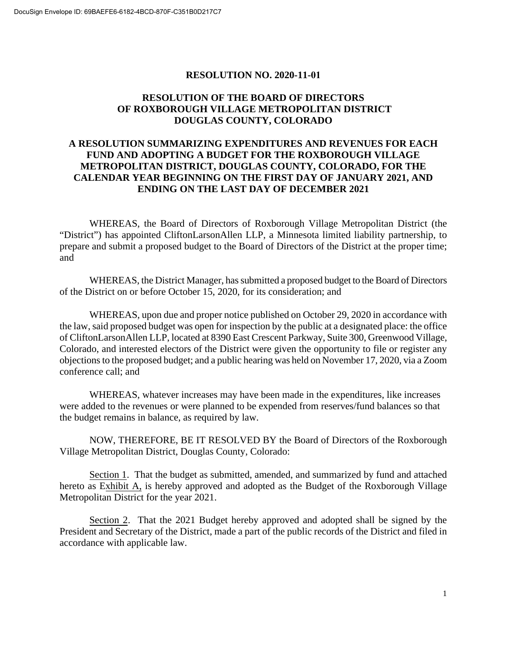#### **RESOLUTION NO. 2020-11-01**

#### **RESOLUTION OF THE BOARD OF DIRECTORS OF ROXBOROUGH VILLAGE METROPOLITAN DISTRICT DOUGLAS COUNTY, COLORADO**

## **A RESOLUTION SUMMARIZING EXPENDITURES AND REVENUES FOR EACH FUND AND ADOPTING A BUDGET FOR THE ROXBOROUGH VILLAGE METROPOLITAN DISTRICT, DOUGLAS COUNTY, COLORADO, FOR THE CALENDAR YEAR BEGINNING ON THE FIRST DAY OF JANUARY 2021, AND ENDING ON THE LAST DAY OF DECEMBER 2021**

WHEREAS, the Board of Directors of Roxborough Village Metropolitan District (the "District") has appointed CliftonLarsonAllen LLP, a Minnesota limited liability partnership, to prepare and submit a proposed budget to the Board of Directors of the District at the proper time; and

WHEREAS, the District Manager, has submitted a proposed budget to the Board of Directors of the District on or before October 15, 2020, for its consideration; and

WHEREAS, upon due and proper notice published on October 29, 2020 in accordance with the law, said proposed budget was open for inspection by the public at a designated place: the office of CliftonLarsonAllen LLP, located at 8390 East Crescent Parkway, Suite 300, Greenwood Village, Colorado, and interested electors of the District were given the opportunity to file or register any objections to the proposed budget; and a public hearing was held on November 17, 2020, via a Zoom conference call; and

WHEREAS, whatever increases may have been made in the expenditures, like increases were added to the revenues or were planned to be expended from reserves/fund balances so that the budget remains in balance, as required by law.

NOW, THEREFORE, BE IT RESOLVED BY the Board of Directors of the Roxborough Village Metropolitan District, Douglas County, Colorado:

Section 1. That the budget as submitted, amended, and summarized by fund and attached hereto as Exhibit A, is hereby approved and adopted as the Budget of the Roxborough Village Metropolitan District for the year 2021.

Section 2. That the 2021 Budget hereby approved and adopted shall be signed by the President and Secretary of the District, made a part of the public records of the District and filed in accordance with applicable law.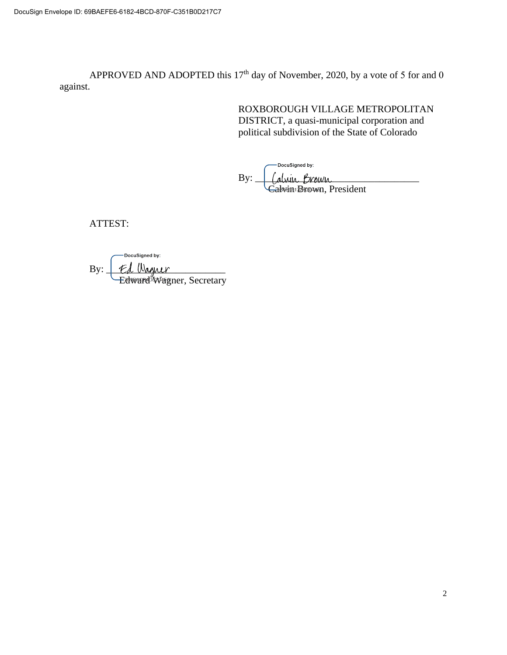APPROVED AND ADOPTED this  $17<sup>th</sup>$  day of November, 2020, by a vote of 5 for and 0 against.

> ROXBOROUGH VILLAGE METROPOLITAN DISTRICT, a quasi-municipal corporation and political subdivision of the State of Colorado

DocuSigned by:

 $\text{By:}\_\_\_\_\_\_\_\_\_\_\_\_\_\_\_\_\_\_\_\_\_$ Cadwin Brown, President

ATTEST:

DocuSigned by:  $\text{By:} \perp \text{Ed }$  Wagner Edward Wagner, Secretary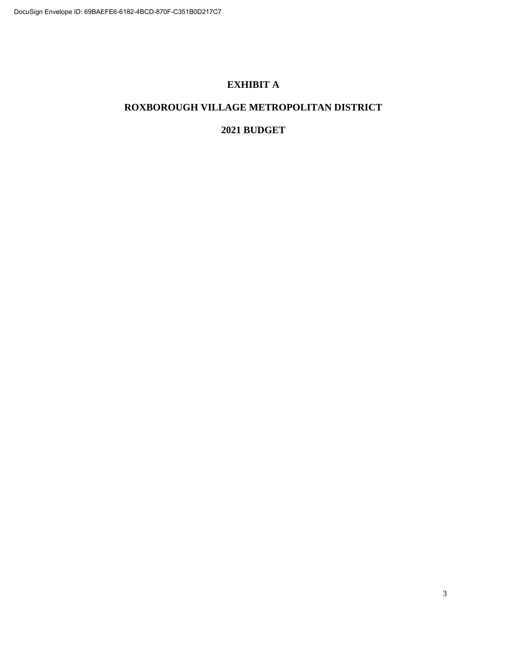## **EXHIBIT A**

## **ROXBOROUGH VILLAGE METROPOLITAN DISTRICT**

## **2021 BUDGET**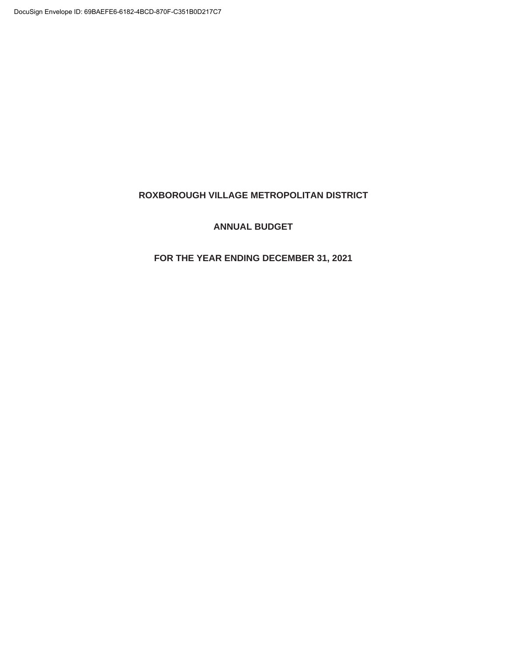#### **ROXBOROUGH VILLAGE METROPOLITAN DISTRICT**

#### **ANNUAL BUDGET**

## **FOR THE YEAR ENDING DECEMBER 31, 2021**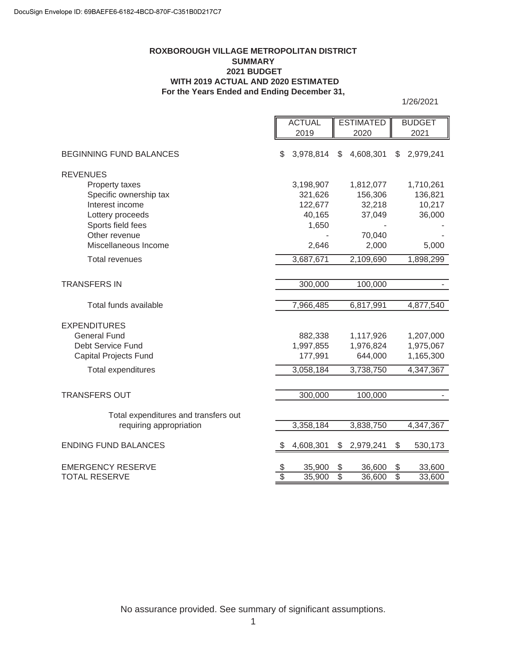#### **ROXBOROUGH VILLAGE METROPOLITAN DISTRICT SUMMARY 2021 BUDGET WITH 2019 ACTUAL AND 2020 ESTIMATED For the Years Ended and Ending December 31,**

1/26/2021

|                                                  | <b>ACTUAL</b>         |                  |                       | <b>ESTIMATED</b> |                       | <b>BUDGET</b>    |
|--------------------------------------------------|-----------------------|------------------|-----------------------|------------------|-----------------------|------------------|
|                                                  |                       | 2019             |                       | 2020             |                       | 2021             |
| <b>BEGINNING FUND BALANCES</b>                   | \$                    | 3,978,814        | \$                    | 4,608,301        | \$                    | 2,979,241        |
| <b>REVENUES</b>                                  |                       |                  |                       |                  |                       |                  |
| Property taxes                                   |                       | 3,198,907        |                       | 1,812,077        |                       | 1,710,261        |
| Specific ownership tax                           |                       | 321,626          |                       | 156,306          |                       | 136,821          |
| Interest income                                  |                       | 122,677          |                       | 32,218           |                       | 10,217           |
| Lottery proceeds                                 |                       | 40,165           |                       | 37,049           |                       | 36,000           |
| Sports field fees                                |                       | 1,650            |                       |                  |                       |                  |
| Other revenue                                    |                       |                  |                       | 70,040           |                       |                  |
| Miscellaneous Income                             |                       | 2,646            |                       | 2,000            |                       | 5,000            |
| <b>Total revenues</b>                            |                       | 3,687,671        |                       | 2,109,690        |                       | 1,898,299        |
|                                                  |                       |                  |                       |                  |                       |                  |
| <b>TRANSFERS IN</b>                              |                       | 300,000          |                       | 100,000          |                       |                  |
|                                                  |                       |                  |                       |                  |                       |                  |
| Total funds available                            |                       | 7,966,485        |                       | 6,817,991        |                       | 4,877,540        |
| <b>EXPENDITURES</b>                              |                       |                  |                       |                  |                       |                  |
| <b>General Fund</b>                              |                       | 882,338          |                       | 1,117,926        |                       | 1,207,000        |
| Debt Service Fund                                |                       | 1,997,855        |                       | 1,976,824        |                       | 1,975,067        |
| <b>Capital Projects Fund</b>                     |                       | 177,991          |                       | 644,000          |                       | 1,165,300        |
| <b>Total expenditures</b>                        |                       | 3,058,184        |                       | 3,738,750        |                       | 4,347,367        |
|                                                  |                       |                  |                       |                  |                       |                  |
| <b>TRANSFERS OUT</b>                             |                       | 300,000          |                       | 100,000          |                       |                  |
| Total expenditures and transfers out             |                       |                  |                       |                  |                       |                  |
| requiring appropriation                          |                       | 3,358,184        |                       | 3,838,750        |                       | 4,347,367        |
|                                                  |                       |                  |                       |                  |                       |                  |
| <b>ENDING FUND BALANCES</b>                      |                       | 4,608,301        | \$                    | 2,979,241        | \$                    | 530,173          |
|                                                  |                       |                  |                       |                  |                       |                  |
| <b>EMERGENCY RESERVE</b><br><b>TOTAL RESERVE</b> | \$<br>$\overline{\$}$ | 35,900<br>35,900 | \$<br>$\overline{\$}$ | 36,600<br>36,600 | \$<br>$\overline{\$}$ | 33,600<br>33,600 |
|                                                  |                       |                  |                       |                  |                       |                  |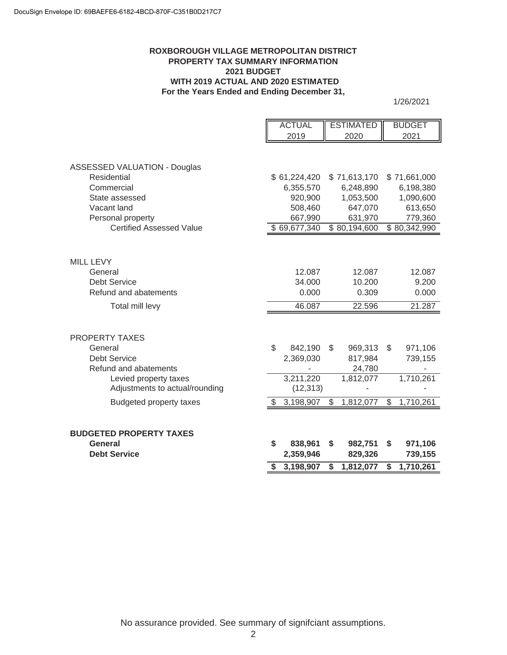#### **ROXBOROUGH VILLAGE METROPOLITAN DISTRICT PROPERTY TAX SUMMARY INFORMATION 2021 BUDGET WITH 2019 ACTUAL AND 2020 ESTIMATED For the Years Ended and Ending December 31,**

1/26/2021

|                                     |                           | <b>ACTUAL</b> | <b>ESTIMATED</b> | <b>BUDGET</b>   |
|-------------------------------------|---------------------------|---------------|------------------|-----------------|
|                                     |                           | 2019          | 2020             | 2021            |
|                                     |                           |               |                  |                 |
|                                     |                           |               |                  |                 |
| <b>ASSESSED VALUATION - Douglas</b> |                           |               |                  |                 |
| Residential                         |                           | \$61,224,420  | \$71,613,170     | \$71,661,000    |
| Commercial                          |                           | 6,355,570     | 6,248,890        | 6,198,380       |
| State assessed                      |                           | 920,900       | 1,053,500        | 1,090,600       |
| Vacant land                         |                           | 508,460       | 647,070          | 613,650         |
| Personal property                   |                           | 667,990       | 631,970          | 779,360         |
| <b>Certified Assessed Value</b>     |                           | \$69,677,340  | \$80,194,600     | \$80,342,990    |
|                                     |                           |               |                  |                 |
|                                     |                           |               |                  |                 |
| <b>MILL LEVY</b>                    |                           |               |                  |                 |
| General                             |                           | 12.087        | 12.087           | 12.087          |
| <b>Debt Service</b>                 |                           | 34.000        | 10.200           | 9.200           |
| Refund and abatements               |                           | 0.000         | 0.309            | 0.000           |
|                                     |                           |               |                  |                 |
| Total mill levy                     |                           | 46.087        | 22.596           | 21.287          |
|                                     |                           |               |                  |                 |
|                                     |                           |               |                  |                 |
| <b>PROPERTY TAXES</b>               |                           |               |                  |                 |
| General                             | $\mathbb{S}$              | 842,190       | \$<br>969,313    | \$<br>971,106   |
| <b>Debt Service</b>                 |                           | 2,369,030     | 817,984          | 739,155         |
| Refund and abatements               |                           |               | 24,780           |                 |
| Levied property taxes               |                           | 3,211,220     | 1,812,077        | 1,710,261       |
| Adjustments to actual/rounding      |                           | (12, 313)     |                  |                 |
| <b>Budgeted property taxes</b>      |                           | 3,198,907     | \$<br>1,812,077  | \$<br>1,710,261 |
|                                     |                           |               |                  |                 |
|                                     |                           |               |                  |                 |
| <b>BUDGETED PROPERTY TAXES</b>      |                           |               |                  |                 |
| General                             | $\boldsymbol{\mathsf{s}}$ | 838,961       | \$<br>982,751    | \$<br>971,106   |
| <b>Debt Service</b>                 |                           | 2,359,946     | 829,326          | 739,155         |
|                                     |                           |               |                  |                 |
|                                     | S                         | 3,198,907     | \$<br>1,812,077  | \$<br>1,710,261 |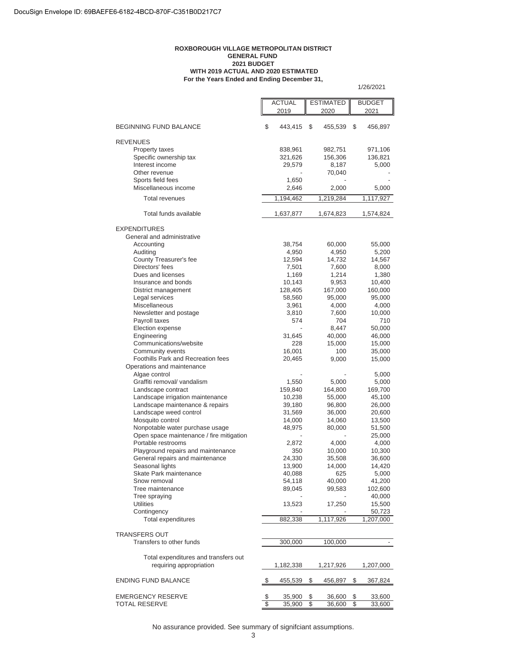#### **For the Years Ended and Ending December 31, ROXBOROUGH VILLAGE METROPOLITAN DISTRICT GENERAL FUND 2021 BUDGET WITH 2019 ACTUAL AND 2020 ESTIMATED**

1/26/2021

ACTUAL **ESTIMATED** BUDGET 2019 | 2020 | 2021 BEGINNING FUND BALANCE  $$ 443,415 $ 45,539 $ 456,897$ REVENUES Property taxes 838,961 982,751 971,106 Specific ownership tax 321,626 156,306 136,821 Interest income 29,579 8,187 5,000 Other revenue  $70,040$ Sports field fees 1,650 Miscellaneous income 2,646 2,000 5,000 Total revenues 1,194,462 1,219,284 1,117,927 Total funds available 1,637,877 1,674,823 1,574,824 EXPENDITURES General and administrative Accounting 38,754 60,000 55,000 Auditing 4,950 4,950 5,200 County Treasurer's fee 12,594 14,732 14,567 Directors' fees 7,501 7,600 8,000 Dues and licenses 1,169 1,214 1,380 Insurance and bonds 10,143 9,953 10,400 District management 128,405 167,000 160,000 Legal services 58,560 95,000 95,000 Miscellaneous 3,961 4,000 4,000 Newsletter and postage 3,810 7,600 10,000 Payroll taxes 674 710 Election expense  $8,447$  50,000 Engineering 31,645 40,000 46,000 Communications/website 228 15,000 15,000 Community events<br>
Foothills Park and Recreation fees<br>
16,000 15,000 15,000 Foothills Park and Recreation fees 20,465 9,000 15,000 Operations and maintenance Algae control to the set of the set of the set of the set of the set of the set of the set of the set of the set of the set of the set of the set of the set of the set of the set of the set of the set of the set of the set Graffiti removal/ vandalism 1,550 5,000 5,000 Landscape contract 159,840 164,800 169,700 Landscape irrigation maintenance 10,238 55,000 45,100 Landscape maintenance & repairs 39,180 96,800 26,000 Landscape weed control 1990 10 11,569 36,000 20,600<br>Mosquito control 14,000 14,000 13,500 Mosquito control 14,000 14,060 13,500 Nonpotable water purchase usage  $48,975$  80,000  $51,500$ <br>Open space maintenance / fire mitigation  $\qquad \qquad$  -  $\qquad \qquad$  25.000 Open space maintenance / fire mitigation - 2,872 Portable restrooms <br>
Playaround repairs and maintenance <br>
2,872 4,000 4,000 40.000 40.300 Playground repairs and maintenance 350 10,000 10,300 General repairs and maintenance <br>
24,330 35,508 36,600 Seasonal lights 13,900 14,000 14,420 Skate Park maintenance  $40,088$  625 5,000 Snow removal 54,118 40,000 41,200 Tree maintenance 89,045 99,583 102,600 Tree spraying and the state of the state of the state of the state of the 40,000  $-$ Utilities 13,523 17,250 15,500 Contingency **Contingency Contingency CONS** Total expenditures **882,338** 1,117,926 1,207,000 TRANSFERS OUT Transfers to other funds and the state of the 300,000 100,000 -Total expenditures and transfers out requiring appropriation 1,182,338 1,217,926 1,207,000 ENDING FUND BALANCE  $$ 455,539 \text{ } $ 456,897 \text{ } $ 367,824$ EMERGENCY RESERVE  $\frac{\$}{\$}$  35,900 \$ 36,600 \$ 33,600<br>TOTAL RESERVE \$ 35,900 \$ 36,600 \$ 33,600 TOTAL RESERVE \$ 35,900 \$ 36,600 \$

No assurance provided. See summary of signifciant assumptions.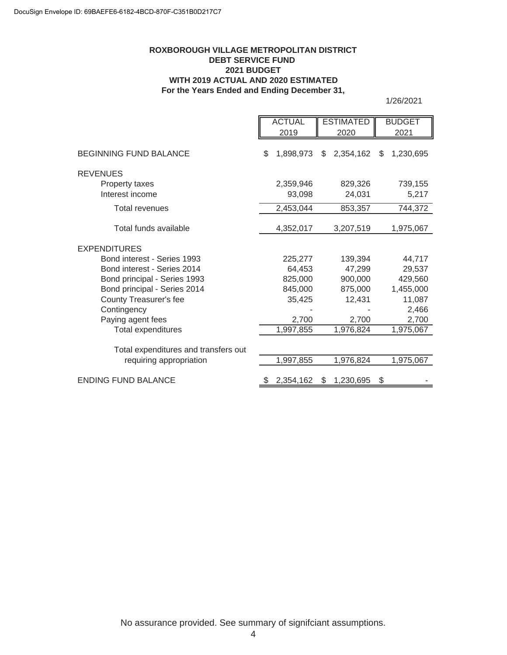#### **ROXBOROUGH VILLAGE METROPOLITAN DISTRICT DEBT SERVICE FUND 2021 BUDGET WITH 2019 ACTUAL AND 2020 ESTIMATED For the Years Ended and Ending December 31,**

1/26/2021

|                                      | <b>ACTUAL</b> |                     | <b>ESTIMATED</b> |                   | <b>BUDGET</b>    |
|--------------------------------------|---------------|---------------------|------------------|-------------------|------------------|
|                                      |               | 2019                |                  | 2020              | 2021             |
| <b>BEGINNING FUND BALANCE</b>        | \$            | 1,898,973           | \$               | 2,354,162         | \$<br>1,230,695  |
| <b>REVENUES</b>                      |               |                     |                  |                   |                  |
| Property taxes<br>Interest income    |               | 2,359,946<br>93,098 |                  | 829,326<br>24,031 | 739,155<br>5,217 |
|                                      |               |                     |                  |                   |                  |
| <b>Total revenues</b>                |               | 2,453,044           |                  | 853,357           | 744,372          |
| Total funds available                |               | 4,352,017           |                  | 3,207,519         | 1,975,067        |
| <b>EXPENDITURES</b>                  |               |                     |                  |                   |                  |
| Bond interest - Series 1993          |               | 225,277             |                  | 139.394           | 44,717           |
| Bond interest - Series 2014          |               | 64,453              |                  | 47,299            | 29,537           |
| Bond principal - Series 1993         |               | 825,000             |                  | 900,000           | 429,560          |
| Bond principal - Series 2014         |               | 845,000             |                  | 875,000           | 1,455,000        |
| County Treasurer's fee               |               | 35,425              |                  | 12,431            | 11,087           |
| Contingency                          |               |                     |                  |                   | 2,466            |
| Paying agent fees                    |               | 2,700               |                  | 2,700             | 2,700            |
| Total expenditures                   |               | 1,997,855           |                  | 1,976,824         | 1,975,067        |
| Total expenditures and transfers out |               |                     |                  |                   |                  |
| requiring appropriation              |               | 1,997,855           |                  | 1,976,824         | 1,975,067        |
| <b>ENDING FUND BALANCE</b>           |               | 2,354,162           | \$               | 1,230,695         | \$               |
|                                      |               |                     |                  |                   |                  |

No assurance provided. See summary of signifciant assumptions.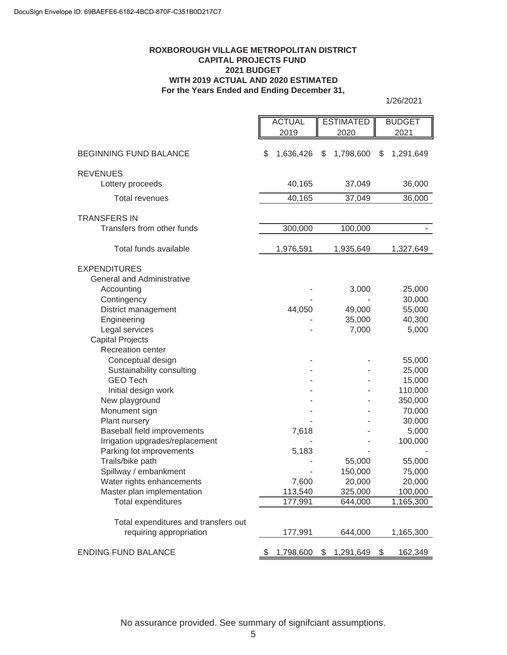#### **ROXBOROUGH VILLAGE METROPOLITAN DISTRICT CAPITAL PROJECTS FUND 2021 BUDGET WITH 2019 ACTUAL AND 2020 ESTIMATED For the Years Ended and Ending December 31,**

1/26/2021

|                                      | <b>ACTUAL</b>   |        | <b>ESTIMATED</b> |         | <b>BUDGET</b>   |
|--------------------------------------|-----------------|--------|------------------|---------|-----------------|
|                                      | 2019            |        | 2020             |         | 2021            |
|                                      |                 |        |                  |         |                 |
| <b>BEGINNING FUND BALANCE</b>        | \$<br>1,636,426 |        | 1,798,600<br>\$  |         | \$<br>1,291,649 |
| <b>REVENUES</b>                      |                 |        |                  |         |                 |
| Lottery proceeds                     |                 | 40,165 |                  | 37,049  | 36,000          |
|                                      |                 |        |                  |         |                 |
| <b>Total revenues</b>                |                 | 40,165 |                  | 37,049  | 36,000          |
| <b>TRANSFERS IN</b>                  |                 |        |                  |         |                 |
| Transfers from other funds           | 300,000         |        |                  | 100,000 |                 |
|                                      |                 |        |                  |         |                 |
| Total funds available                | 1,976,591       |        | 1,935,649        |         | 1,327,649       |
| <b>EXPENDITURES</b>                  |                 |        |                  |         |                 |
| <b>General and Administrative</b>    |                 |        |                  |         |                 |
| Accounting                           |                 |        |                  | 3,000   | 25,000          |
| Contingency                          |                 |        |                  |         | 30,000          |
| District management                  |                 | 44,050 |                  | 49,000  | 55,000          |
| Engineering                          |                 |        |                  | 35,000  | 40,300          |
| Legal services                       |                 |        |                  | 7,000   | 5,000           |
| <b>Capital Projects</b>              |                 |        |                  |         |                 |
| Recreation center                    |                 |        |                  |         |                 |
| Conceptual design                    |                 |        |                  |         | 55,000          |
| Sustainability consulting            |                 |        |                  |         | 25,000          |
| <b>GEO Tech</b>                      |                 |        |                  |         | 15,000          |
| Initial design work                  |                 |        |                  |         | 110,000         |
| New playground                       |                 |        |                  |         | 350,000         |
| Monument sign                        |                 |        |                  |         | 70,000          |
| Plant nursery                        |                 |        |                  |         | 30,000          |
| Baseball field improvements          |                 | 7,618  |                  |         | 5,000           |
| Irrigation upgrades/replacement      |                 |        |                  |         | 100,000         |
| Parking lot improvements             |                 | 5,183  |                  |         |                 |
| Trails/bike path                     |                 |        |                  | 55,000  | 55,000          |
| Spillway / embankment                |                 |        |                  | 150,000 | 75,000          |
| Water rights enhancements            |                 | 7,600  |                  | 20,000  | 20,000          |
| Master plan implementation           | 113,540         |        | 325,000          |         | 100,000         |
| <b>Total expenditures</b>            | 177,991         |        |                  | 644,000 | 1,165,300       |
|                                      |                 |        |                  |         |                 |
| Total expenditures and transfers out |                 |        |                  |         |                 |
| requiring appropriation              | 177,991         |        |                  | 644,000 | 1,165,300       |
| <b>ENDING FUND BALANCE</b>           | 1,798,600<br>\$ |        | \$<br>1,291,649  |         | \$<br>162,349   |

No assurance provided. See summary of signifciant assumptions.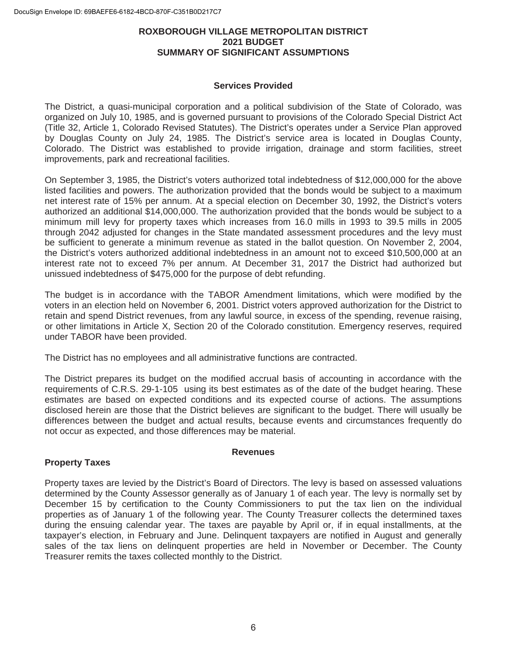#### **ROXBOROUGH VILLAGE METROPOLITAN DISTRICT 2021 BUDGET SUMMARY OF SIGNIFICANT ASSUMPTIONS**

#### **Services Provided**

The District, a quasi-municipal corporation and a political subdivision of the State of Colorado, was organized on July 10, 1985, and is governed pursuant to provisions of the Colorado Special District Act (Title 32, Article 1, Colorado Revised Statutes). The District's operates under a Service Plan approved by Douglas County on July 24, 1985. The District's service area is located in Douglas County, Colorado. The District was established to provide irrigation, drainage and storm facilities, street improvements, park and recreational facilities.

On September 3, 1985, the District's voters authorized total indebtedness of \$12,000,000 for the above listed facilities and powers. The authorization provided that the bonds would be subject to a maximum net interest rate of 15% per annum. At a special election on December 30, 1992, the District's voters authorized an additional \$14,000,000. The authorization provided that the bonds would be subject to a minimum mill levy for property taxes which increases from 16.0 mills in 1993 to 39.5 mills in 2005 through 2042 adjusted for changes in the State mandated assessment procedures and the levy must be sufficient to generate a minimum revenue as stated in the ballot question. On November 2, 2004, the District's voters authorized additional indebtedness in an amount not to exceed \$10,500,000 at an interest rate not to exceed 7% per annum. At December 31, 2017 the District had authorized but unissued indebtedness of \$475,000 for the purpose of debt refunding.

The budget is in accordance with the TABOR Amendment limitations, which were modified by the voters in an election held on November 6, 2001. District voters approved authorization for the District to retain and spend District revenues, from any lawful source, in excess of the spending, revenue raising, or other limitations in Article X, Section 20 of the Colorado constitution. Emergency reserves, required under TABOR have been provided.

The District has no employees and all administrative functions are contracted.

The District prepares its budget on the modified accrual basis of accounting in accordance with the requirements of C.R.S. 29-1-105 using its best estimates as of the date of the budget hearing. These estimates are based on expected conditions and its expected course of actions. The assumptions disclosed herein are those that the District believes are significant to the budget. There will usually be differences between the budget and actual results, because events and circumstances frequently do not occur as expected, and those differences may be material.

#### **Revenues**

## **Property Taxes**

Property taxes are levied by the District's Board of Directors. The levy is based on assessed valuations determined by the County Assessor generally as of January 1 of each year. The levy is normally set by December 15 by certification to the County Commissioners to put the tax lien on the individual properties as of January 1 of the following year. The County Treasurer collects the determined taxes during the ensuing calendar year. The taxes are payable by April or, if in equal installments, at the taxpayer's election, in February and June. Delinquent taxpayers are notified in August and generally sales of the tax liens on delinquent properties are held in November or December. The County Treasurer remits the taxes collected monthly to the District.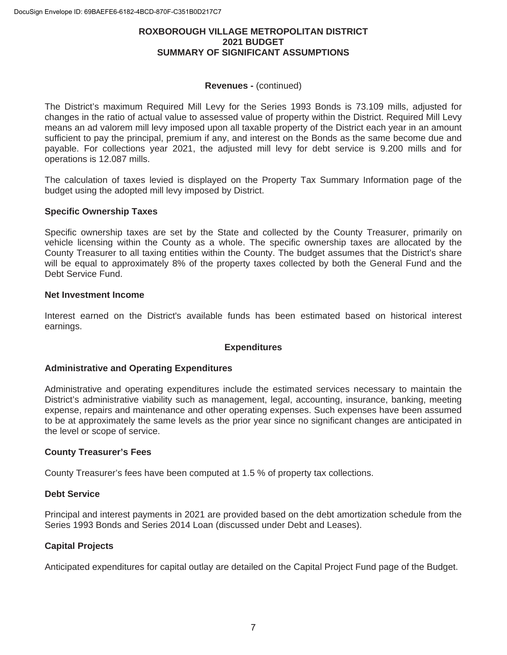#### **ROXBOROUGH VILLAGE METROPOLITAN DISTRICT 2021 BUDGET SUMMARY OF SIGNIFICANT ASSUMPTIONS**

#### **Revenues -** (continued)

The District's maximum Required Mill Levy for the Series 1993 Bonds is 73.109 mills, adjusted for changes in the ratio of actual value to assessed value of property within the District. Required Mill Levy means an ad valorem mill levy imposed upon all taxable property of the District each year in an amount sufficient to pay the principal, premium if any, and interest on the Bonds as the same become due and payable. For collections year 2021, the adjusted mill levy for debt service is 9.200 mills and for operations is 12.087 mills.

The calculation of taxes levied is displayed on the Property Tax Summary Information page of the budget using the adopted mill levy imposed by District.

#### **Specific Ownership Taxes**

Specific ownership taxes are set by the State and collected by the County Treasurer, primarily on vehicle licensing within the County as a whole. The specific ownership taxes are allocated by the County Treasurer to all taxing entities within the County. The budget assumes that the District's share will be equal to approximately 8% of the property taxes collected by both the General Fund and the Debt Service Fund.

#### **Net Investment Income**

Interest earned on the District's available funds has been estimated based on historical interest earnings.

#### **Expenditures**

#### **Administrative and Operating Expenditures**

Administrative and operating expenditures include the estimated services necessary to maintain the District's administrative viability such as management, legal, accounting, insurance, banking, meeting expense, repairs and maintenance and other operating expenses. Such expenses have been assumed to be at approximately the same levels as the prior year since no significant changes are anticipated in the level or scope of service.

#### **County Treasurer's Fees**

County Treasurer's fees have been computed at 1.5 % of property tax collections.

#### **Debt Service**

Principal and interest payments in 2021 are provided based on the debt amortization schedule from the Series 1993 Bonds and Series 2014 Loan (discussed under Debt and Leases).

#### **Capital Projects**

Anticipated expenditures for capital outlay are detailed on the Capital Project Fund page of the Budget.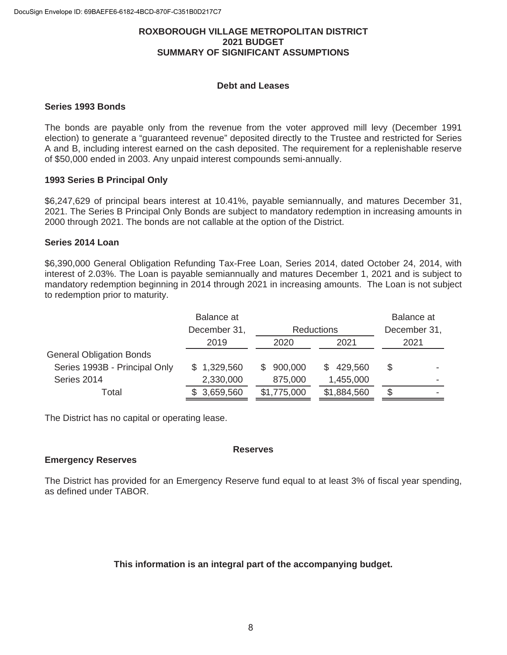#### **ROXBOROUGH VILLAGE METROPOLITAN DISTRICT 2021 BUDGET SUMMARY OF SIGNIFICANT ASSUMPTIONS**

#### **Debt and Leases**

#### **Series 1993 Bonds**

The bonds are payable only from the revenue from the voter approved mill levy (December 1991 election) to generate a "guaranteed revenue" deposited directly to the Trustee and restricted for Series A and B, including interest earned on the cash deposited. The requirement for a replenishable reserve of \$50,000 ended in 2003. Any unpaid interest compounds semi-annually.

#### **1993 Series B Principal Only**

\$6,247,629 of principal bears interest at 10.41%, payable semiannually, and matures December 31, 2021. The Series B Principal Only Bonds are subject to mandatory redemption in increasing amounts in 2000 through 2021. The bonds are not callable at the option of the District.

#### **Series 2014 Loan**

\$6,390,000 General Obligation Refunding Tax-Free Loan, Series 2014, dated October 24, 2014, with interest of 2.03%. The Loan is payable semiannually and matures December 1, 2021 and is subject to mandatory redemption beginning in 2014 through 2021 in increasing amounts. The Loan is not subject to redemption prior to maturity.

|                                 | Balance at   |                   |               | Balance at   |  |
|---------------------------------|--------------|-------------------|---------------|--------------|--|
|                                 | December 31, | <b>Reductions</b> |               | December 31, |  |
|                                 | 2019         | 2020              | 2021          | 2021         |  |
| <b>General Obligation Bonds</b> |              |                   |               |              |  |
| Series 1993B - Principal Only   | \$1,329,560  | 900,000<br>S.     | 429,560<br>S. | S            |  |
| Series 2014                     | 2,330,000    | 875,000           | 1,455,000     |              |  |
| Total                           | \$3,659,560  | \$1,775,000       | \$1,884,560   |              |  |

The District has no capital or operating lease.

#### **Emergency Reserves**

The District has provided for an Emergency Reserve fund equal to at least 3% of fiscal year spending, as defined under TABOR.

**Reserves** 

#### **This information is an integral part of the accompanying budget.**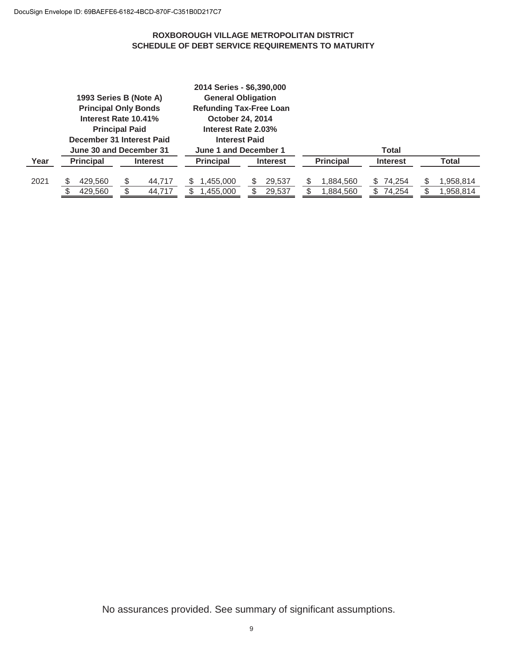#### **ROXBOROUGH VILLAGE METROPOLITAN DISTRICT SCHEDULE OF DEBT SERVICE REQUIREMENTS TO MATURITY**

|      |                                                      | 1993 Series B (Note A)<br><b>Principal Only Bonds</b><br>Interest Rate 10.41%<br><b>Principal Paid</b> | 2014 Series - \$6,390,000<br><b>General Obligation</b><br><b>Refunding Tax-Free Loan</b><br>October 24, 2014<br>Interest Rate 2.03% |                  |                                  |                          |                        |
|------|------------------------------------------------------|--------------------------------------------------------------------------------------------------------|-------------------------------------------------------------------------------------------------------------------------------------|------------------|----------------------------------|--------------------------|------------------------|
|      | December 31 Interest Paid<br>June 30 and December 31 |                                                                                                        | <b>Interest Paid</b><br>June 1 and December 1                                                                                       |                  |                                  | <b>Total</b>             |                        |
| Year | <b>Principal</b>                                     | <b>Interest</b>                                                                                        | <b>Principal</b>                                                                                                                    | <b>Interest</b>  | <b>Principal</b>                 | <b>Interest</b>          | Total                  |
| 2021 | 429,560<br>\$.<br>\$<br>429.560                      | 44,717<br>\$<br>44.717                                                                                 | 1,455,000<br>1,455,000                                                                                                              | 29,537<br>29,537 | S<br>1,884,560<br>S<br>1,884,560 | \$74,254<br>74,254<br>\$ | 1,958,814<br>1,958,814 |

No assurances provided. See summary of significant assumptions.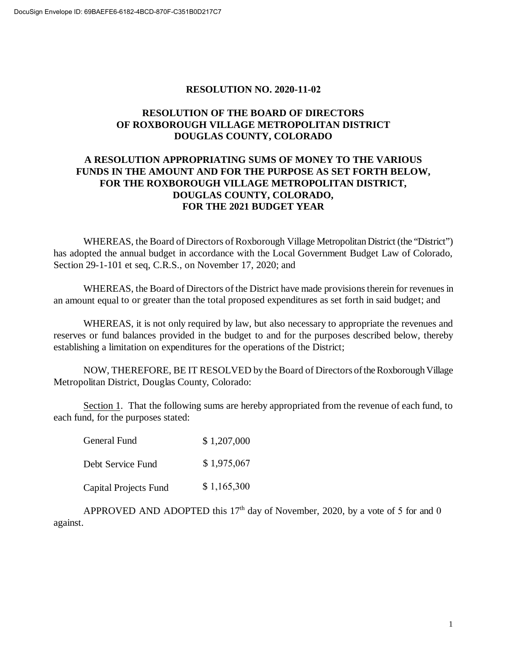#### **RESOLUTION NO. 2020-11-02**

## **RESOLUTION OF THE BOARD OF DIRECTORS OF ROXBOROUGH VILLAGE METROPOLITAN DISTRICT DOUGLAS COUNTY, COLORADO**

## **A RESOLUTION APPROPRIATING SUMS OF MONEY TO THE VARIOUS FUNDS IN THE AMOUNT AND FOR THE PURPOSE AS SET FORTH BELOW, FOR THE ROXBOROUGH VILLAGE METROPOLITAN DISTRICT, DOUGLAS COUNTY, COLORADO, FOR THE 2021 BUDGET YEAR**

WHEREAS, the Board of Directors of Roxborough Village Metropolitan District (the "District") has adopted the annual budget in accordance with the Local Government Budget Law of Colorado, Section 29-1-101 et seq, C.R.S., on November 17, 2020; and

WHEREAS, the Board of Directors of the District have made provisions therein for revenues in an amount equal to or greater than the total proposed expenditures as set forth in said budget; and

WHEREAS, it is not only required by law, but also necessary to appropriate the revenues and reserves or fund balances provided in the budget to and for the purposes described below, thereby establishing a limitation on expenditures for the operations of the District;

NOW, THEREFORE, BE IT RESOLVED by the Board of Directors of the Roxborough Village Metropolitan District, Douglas County, Colorado:

Section 1. That the following sums are hereby appropriated from the revenue of each fund, to each fund, for the purposes stated:

| General Fund          | \$1,207,000 |
|-----------------------|-------------|
| Debt Service Fund     | \$1,975,067 |
| Capital Projects Fund | \$1,165,300 |

APPROVED AND ADOPTED this  $17<sup>th</sup>$  day of November, 2020, by a vote of 5 for and 0 against.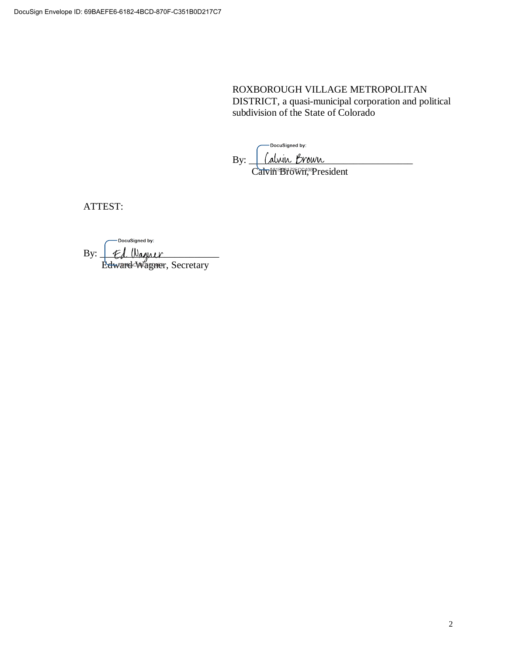ROXBOROUGH VILLAGE METROPOLITAN DISTRICT, a quasi-municipal corporation and political subdivision of the State of Colorado

-DocuSigned by: By: <u>(alvin Brown</u> Calvin BiGWi, President

ATTEST:

DocuSigned by:  $\text{By:} \perp \text{Ed}$  Wagner Edward Wagner, Secretary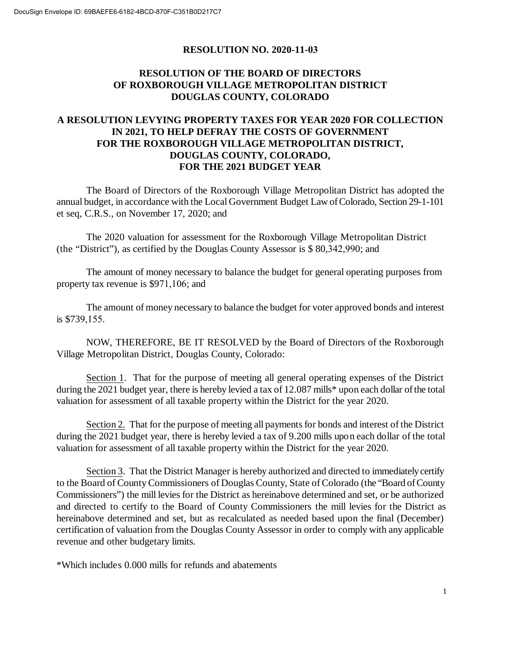#### **RESOLUTION NO. 2020-11-03**

## **RESOLUTION OF THE BOARD OF DIRECTORS OF ROXBOROUGH VILLAGE METROPOLITAN DISTRICT DOUGLAS COUNTY, COLORADO**

## **A RESOLUTION LEVYING PROPERTY TAXES FOR YEAR 2020 FOR COLLECTION IN 2021, TO HELP DEFRAY THE COSTS OF GOVERNMENT FOR THE ROXBOROUGH VILLAGE METROPOLITAN DISTRICT, DOUGLAS COUNTY, COLORADO, FOR THE 2021 BUDGET YEAR**

The Board of Directors of the Roxborough Village Metropolitan District has adopted the annual budget, in accordance with the Local Government Budget Law of Colorado, Section 29-1-101 et seq, C.R.S., on November 17, 2020; and

The 2020 valuation for assessment for the Roxborough Village Metropolitan District (the "District"), as certified by the Douglas County Assessor is \$ 80,342,990; and

The amount of money necessary to balance the budget for general operating purposes from property tax revenue is \$971,106; and

The amount of money necessary to balance the budget for voter approved bonds and interest is \$739,155.

NOW, THEREFORE, BE IT RESOLVED by the Board of Directors of the Roxborough Village Metropolitan District, Douglas County, Colorado:

Section 1. That for the purpose of meeting all general operating expenses of the District during the 2021 budget year, there is hereby levied a tax of 12.087 mills\* upon each dollar of the total valuation for assessment of all taxable property within the District for the year 2020.

Section 2. That for the purpose of meeting all payments for bonds and interest of the District during the 2021 budget year, there is hereby levied a tax of 9.200 mills upon each dollar of the total valuation for assessment of all taxable property within the District for the year 2020.

Section 3. That the District Manager is hereby authorized and directed to immediately certify to the Board of County Commissioners of Douglas County, State of Colorado (the "Board of County Commissioners") the mill levies for the District as hereinabove determined and set, or be authorized and directed to certify to the Board of County Commissioners the mill levies for the District as hereinabove determined and set, but as recalculated as needed based upon the final (December) certification of valuation from the Douglas County Assessor in order to comply with any applicable revenue and other budgetary limits.

\*Which includes 0.000 mills for refunds and abatements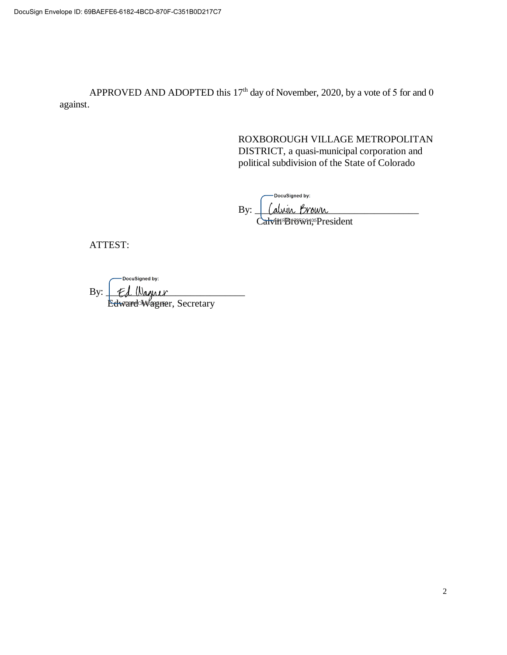APPROVED AND ADOPTED this  $17<sup>th</sup>$  day of November, 2020, by a vote of 5 for and 0 against.

> ROXBOROUGH VILLAGE METROPOLITAN DISTRICT, a quasi-municipal corporation and political subdivision of the State of Colorado

cuSigned by: By: <u>| (alvin Brown</u> Calvin<sup>B</sup>rown, President

ATTEST:

DocuSigned by:

By: \_\_\_\_\_\_\_\_\_\_\_\_\_\_\_\_\_\_\_\_\_\_\_\_\_\_\_\_ Edward Wagner, Secretary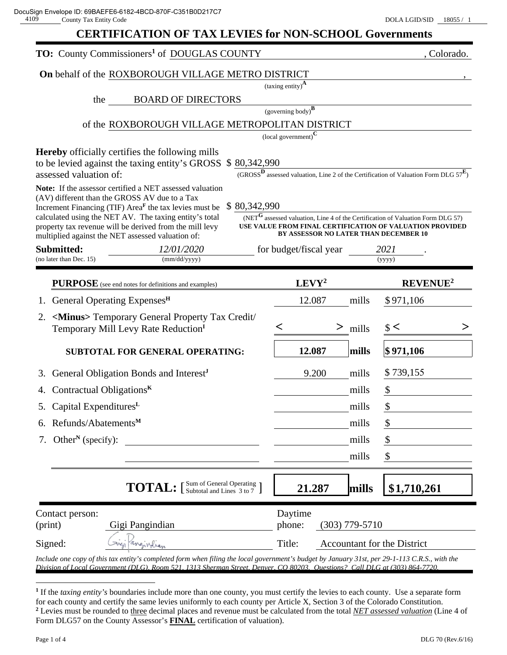| <b>TO:</b> County Commissioners <sup>1</sup> of DOUGLAS COUNTY                                                                                                                                                                                                                                                                                                                                                                                                                                                                                                              |                                            | , Colorado.                                                                                                   |  |  |  |  |
|-----------------------------------------------------------------------------------------------------------------------------------------------------------------------------------------------------------------------------------------------------------------------------------------------------------------------------------------------------------------------------------------------------------------------------------------------------------------------------------------------------------------------------------------------------------------------------|--------------------------------------------|---------------------------------------------------------------------------------------------------------------|--|--|--|--|
| On behalf of the ROXBOROUGH VILLAGE METRO DISTRICT                                                                                                                                                                                                                                                                                                                                                                                                                                                                                                                          |                                            |                                                                                                               |  |  |  |  |
|                                                                                                                                                                                                                                                                                                                                                                                                                                                                                                                                                                             | (taxing entity) $\mathbf{A}$               |                                                                                                               |  |  |  |  |
| <b>BOARD OF DIRECTORS</b><br>the                                                                                                                                                                                                                                                                                                                                                                                                                                                                                                                                            |                                            |                                                                                                               |  |  |  |  |
| of the ROXBOROUGH VILLAGE METROPOLITAN DISTRICT                                                                                                                                                                                                                                                                                                                                                                                                                                                                                                                             | (governing body) $\overline{B}$            |                                                                                                               |  |  |  |  |
|                                                                                                                                                                                                                                                                                                                                                                                                                                                                                                                                                                             | $\left($ local government) $^{\mathrm{C}}$ |                                                                                                               |  |  |  |  |
| <b>Hereby</b> officially certifies the following mills<br>to be levied against the taxing entity's GROSS \$80,342,990<br>assessed valuation of:                                                                                                                                                                                                                                                                                                                                                                                                                             |                                            | (GROSS <sup>D</sup> assessed valuation, Line 2 of the Certification of Valuation Form DLG $57^{\mathbf{E}}$ ) |  |  |  |  |
| Note: If the assessor certified a NET assessed valuation<br>(AV) different than the GROSS AV due to a Tax<br>\$80,342,990<br>Increment Financing (TIF) Area <sup>F</sup> the tax levies must be<br>calculated using the NET AV. The taxing entity's total<br>(NET $G$ assessed valuation, Line 4 of the Certification of Valuation Form DLG 57)<br>property tax revenue will be derived from the mill levy<br>USE VALUE FROM FINAL CERTIFICATION OF VALUATION PROVIDED<br><b>BY ASSESSOR NO LATER THAN DECEMBER 10</b><br>multiplied against the NET assessed valuation of: |                                            |                                                                                                               |  |  |  |  |
| Submitted:<br>12/01/2020                                                                                                                                                                                                                                                                                                                                                                                                                                                                                                                                                    | for budget/fiscal year                     | 2021                                                                                                          |  |  |  |  |
| (mm/dd/yyyy)<br>(no later than Dec. 15)                                                                                                                                                                                                                                                                                                                                                                                                                                                                                                                                     |                                            | (yyyy)                                                                                                        |  |  |  |  |
| PURPOSE (see end notes for definitions and examples)                                                                                                                                                                                                                                                                                                                                                                                                                                                                                                                        | LEVY <sup>2</sup>                          | <b>REVENUE<sup>2</sup></b>                                                                                    |  |  |  |  |
| General Operating Expenses <sup>H</sup><br>1.                                                                                                                                                                                                                                                                                                                                                                                                                                                                                                                               | 12.087                                     | mills<br>\$971,106                                                                                            |  |  |  |  |
| <minus> Temporary General Property Tax Credit/<br/>2.<br/>Temporary Mill Levy Rate Reduction<sup>I</sup></minus>                                                                                                                                                                                                                                                                                                                                                                                                                                                            |                                            | $\frac{1}{2}$<br>$>$ mills                                                                                    |  |  |  |  |
| <b>SUBTOTAL FOR GENERAL OPERATING:</b>                                                                                                                                                                                                                                                                                                                                                                                                                                                                                                                                      | 12.087                                     | mills<br>$\frac{1}{2}$ 971,106                                                                                |  |  |  |  |
| General Obligation Bonds and Interest <sup>J</sup>                                                                                                                                                                                                                                                                                                                                                                                                                                                                                                                          | 9.200                                      | \$739,155<br>mills                                                                                            |  |  |  |  |
| Contractual Obligations $K$                                                                                                                                                                                                                                                                                                                                                                                                                                                                                                                                                 |                                            | \$<br>mills                                                                                                   |  |  |  |  |
| 5. Capital Expenditures <sup>L</sup>                                                                                                                                                                                                                                                                                                                                                                                                                                                                                                                                        |                                            | \$<br>mills                                                                                                   |  |  |  |  |
| 6. Refunds/Abatements <sup>M</sup>                                                                                                                                                                                                                                                                                                                                                                                                                                                                                                                                          |                                            | \$<br>mills                                                                                                   |  |  |  |  |
| Other <sup>N</sup> (specify):<br>7.                                                                                                                                                                                                                                                                                                                                                                                                                                                                                                                                         |                                            | \$<br>mills                                                                                                   |  |  |  |  |
|                                                                                                                                                                                                                                                                                                                                                                                                                                                                                                                                                                             |                                            | \$<br>mills                                                                                                   |  |  |  |  |
| <b>TOTAL:</b> [Sum of General Operating ]                                                                                                                                                                                                                                                                                                                                                                                                                                                                                                                                   | 21.287                                     | \$1,710,261<br>mills                                                                                          |  |  |  |  |
| Contact person:<br>Gigi Pangindian<br>(print)                                                                                                                                                                                                                                                                                                                                                                                                                                                                                                                               | Daytime<br>$(303)$ 779-5710<br>phone:      |                                                                                                               |  |  |  |  |
| Signed:<br>angivalen<br>Include one copy of this tax entity's completed form when filing the local government's budget by January 31st, per 29-1-113 C.R.S., with the                                                                                                                                                                                                                                                                                                                                                                                                       | Title:                                     | Accountant for the District                                                                                   |  |  |  |  |

*Division of Local Government (DLG), Room 521, 1313 Sherman Street, Denver, CO 80203. Questions? Call DLG at (303) 864-7720.* 

**<sup>1</sup>** If the *taxing entity's* boundaries include more than one county, you must certify the levies to each county. Use a separate form for each county and certify the same levies uniformly to each county per Article X, Section 3 of the Colorado Constitution. **2** Levies must be rounded to three decimal places and revenue must be calculated from the total *NET assessed valuation* (Line 4 of Form DLG57 on the County Assessor's **FINAL** certification of valuation).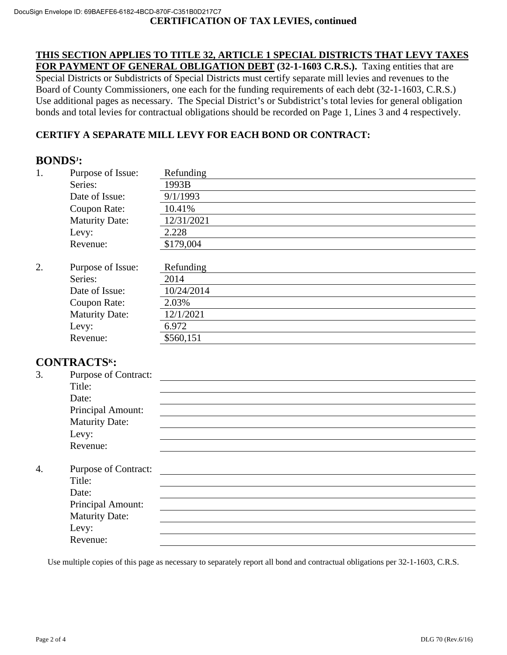**THIS SECTION APPLIES TO TITLE 32, ARTICLE 1 SPECIAL DISTRICTS THAT LEVY TAXES FOR PAYMENT OF GENERAL OBLIGATION DEBT (32-1-1603 C.R.S.).** Taxing entities that are Special Districts or Subdistricts of Special Districts must certify separate mill levies and revenues to the Board of County Commissioners, one each for the funding requirements of each debt (32-1-1603, C.R.S.) Use additional pages as necessary. The Special District's or Subdistrict's total levies for general obligation bonds and total levies for contractual obligations should be recorded on Page 1, Lines 3 and 4 respectively.

## **CERTIFY A SEPARATE MILL LEVY FOR EACH BOND OR CONTRACT:**

# **BONDSJ :**

| 1. | Purpose of Issue:     | Refunding  |
|----|-----------------------|------------|
|    | Series:               | 1993B      |
|    | Date of Issue:        | 9/1/1993   |
|    | Coupon Rate:          | 10.41%     |
|    | <b>Maturity Date:</b> | 12/31/2021 |
|    | Levy:                 | 2.228      |
|    | Revenue:              | \$179,004  |
|    |                       |            |
| 2. | Purpose of Issue:     | Refunding  |
|    | Series:               | 2014       |
|    | Date of Issue:        | 10/24/2014 |
|    | Coupon Rate:          | 2.03%      |
|    | <b>Maturity Date:</b> | 12/1/2021  |
|    | Levy:                 | 6.972      |
|    | Revenue:              | \$560,151  |

## **CONTRACTSK:**

| 3.               | Purpose of Contract:        |  |
|------------------|-----------------------------|--|
|                  | Title:                      |  |
|                  | Date:                       |  |
|                  | Principal Amount:           |  |
|                  | <b>Maturity Date:</b>       |  |
|                  | Levy:                       |  |
|                  | Revenue:                    |  |
| $\overline{4}$ . | <b>Purpose of Contract:</b> |  |
|                  | Title:                      |  |
|                  | Date:                       |  |
|                  | Principal Amount:           |  |
|                  | <b>Maturity Date:</b>       |  |
|                  | Levy:                       |  |
|                  | Revenue:                    |  |

Use multiple copies of this page as necessary to separately report all bond and contractual obligations per 32-1-1603, C.R.S.